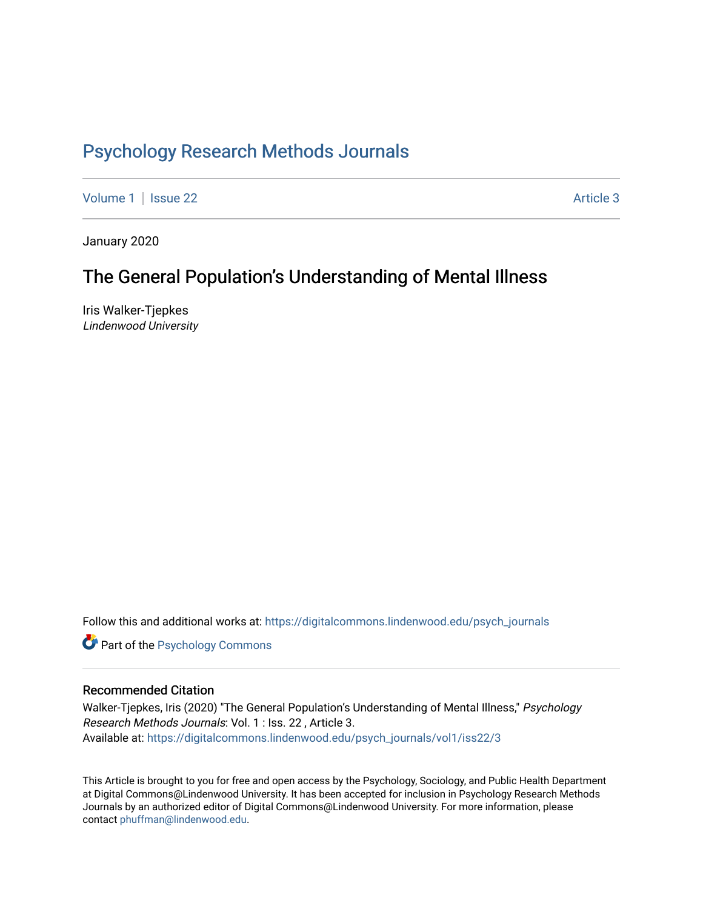# [Psychology Research Methods Journals](https://digitalcommons.lindenwood.edu/psych_journals)

[Volume 1](https://digitalcommons.lindenwood.edu/psych_journals/vol1) | [Issue 22](https://digitalcommons.lindenwood.edu/psych_journals/vol1/iss22) Article 3

January 2020

# The General Population's Understanding of Mental Illness

Iris Walker-Tjepkes Lindenwood University

Follow this and additional works at: [https://digitalcommons.lindenwood.edu/psych\\_journals](https://digitalcommons.lindenwood.edu/psych_journals?utm_source=digitalcommons.lindenwood.edu%2Fpsych_journals%2Fvol1%2Fiss22%2F3&utm_medium=PDF&utm_campaign=PDFCoverPages) 

**Part of the Psychology Commons** 

### Recommended Citation

Walker-Tjepkes, Iris (2020) "The General Population's Understanding of Mental Illness," Psychology Research Methods Journals: Vol. 1 : Iss. 22 , Article 3. Available at: [https://digitalcommons.lindenwood.edu/psych\\_journals/vol1/iss22/3](https://digitalcommons.lindenwood.edu/psych_journals/vol1/iss22/3?utm_source=digitalcommons.lindenwood.edu%2Fpsych_journals%2Fvol1%2Fiss22%2F3&utm_medium=PDF&utm_campaign=PDFCoverPages) 

This Article is brought to you for free and open access by the Psychology, Sociology, and Public Health Department at Digital Commons@Lindenwood University. It has been accepted for inclusion in Psychology Research Methods Journals by an authorized editor of Digital Commons@Lindenwood University. For more information, please contact [phuffman@lindenwood.edu.](mailto:phuffman@lindenwood.edu)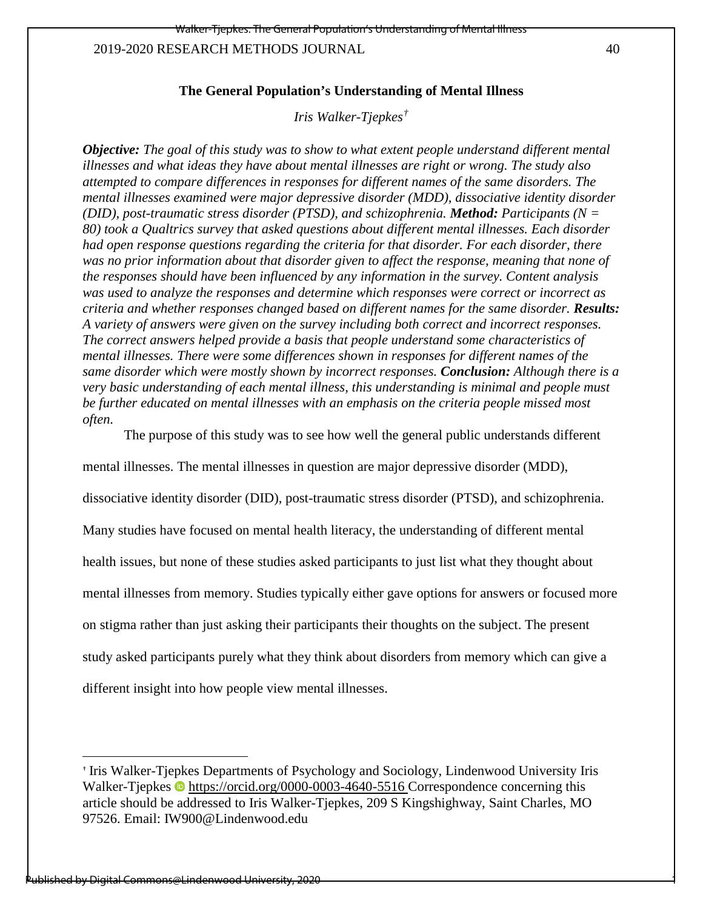1

# **The General Population's Understanding of Mental Illness**

*Iris Walker-Tjepkes[†](#page-1-0)*

*Objective: The goal of this study was to show to what extent people understand different mental illnesses and what ideas they have about mental illnesses are right or wrong. The study also attempted to compare differences in responses for different names of the same disorders. The mental illnesses examined were major depressive disorder (MDD), dissociative identity disorder (DID), post-traumatic stress disorder (PTSD), and schizophrenia. Method: Participants (N = 80) took a Qualtrics survey that asked questions about different mental illnesses. Each disorder had open response questions regarding the criteria for that disorder. For each disorder, there was no prior information about that disorder given to affect the response, meaning that none of the responses should have been influenced by any information in the survey. Content analysis was used to analyze the responses and determine which responses were correct or incorrect as criteria and whether responses changed based on different names for the same disorder. Results: A variety of answers were given on the survey including both correct and incorrect responses. The correct answers helped provide a basis that people understand some characteristics of mental illnesses. There were some differences shown in responses for different names of the same disorder which were mostly shown by incorrect responses. Conclusion: Although there is a very basic understanding of each mental illness, this understanding is minimal and people must be further educated on mental illnesses with an emphasis on the criteria people missed most often.* 

The purpose of this study was to see how well the general public understands different

mental illnesses. The mental illnesses in question are major depressive disorder (MDD),

dissociative identity disorder (DID), post-traumatic stress disorder (PTSD), and schizophrenia.

Many studies have focused on mental health literacy, the understanding of different mental

health issues, but none of these studies asked participants to just list what they thought about

mental illnesses from memory. Studies typically either gave options for answers or focused more

on stigma rather than just asking their participants their thoughts on the subject. The present

study asked participants purely what they think about disorders from memory which can give a

different insight into how people view mental illnesses.

l

<span id="page-1-0"></span><sup>†</sup> Iris Walker-Tjepkes Departments of Psychology and Sociology, Lindenwood University Iris Walker-Tjepkes  $\bullet$  <https://orcid.org/0000-0003-4640-5516>Correspondence concerning this article should be addressed to Iris Walker-Tjepkes, 209 S Kingshighway, Saint Charles, MO 97526. Email: IW900@Lindenwood.edu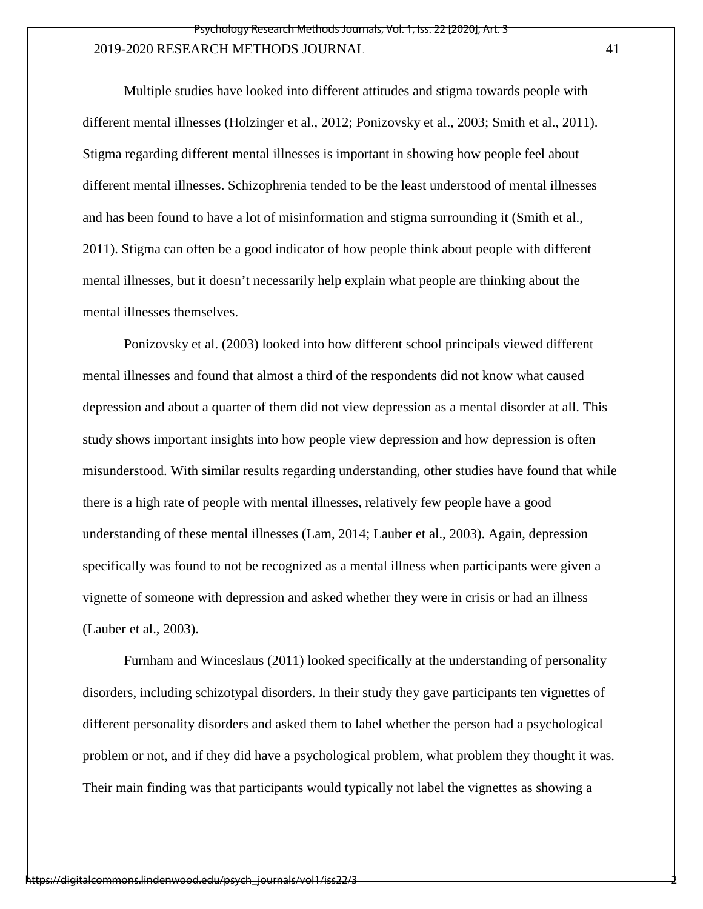Multiple studies have looked into different attitudes and stigma towards people with different mental illnesses (Holzinger et al., 2012; Ponizovsky et al., 2003; Smith et al., 2011). Stigma regarding different mental illnesses is important in showing how people feel about different mental illnesses. Schizophrenia tended to be the least understood of mental illnesses and has been found to have a lot of misinformation and stigma surrounding it (Smith et al., 2011). Stigma can often be a good indicator of how people think about people with different mental illnesses, but it doesn't necessarily help explain what people are thinking about the mental illnesses themselves.

Ponizovsky et al. (2003) looked into how different school principals viewed different mental illnesses and found that almost a third of the respondents did not know what caused depression and about a quarter of them did not view depression as a mental disorder at all. This study shows important insights into how people view depression and how depression is often misunderstood. With similar results regarding understanding, other studies have found that while there is a high rate of people with mental illnesses, relatively few people have a good understanding of these mental illnesses (Lam, 2014; Lauber et al., 2003). Again, depression specifically was found to not be recognized as a mental illness when participants were given a vignette of someone with depression and asked whether they were in crisis or had an illness (Lauber et al., 2003).

Furnham and Winceslaus (2011) looked specifically at the understanding of personality disorders, including schizotypal disorders. In their study they gave participants ten vignettes of different personality disorders and asked them to label whether the person had a psychological problem or not, and if they did have a psychological problem, what problem they thought it was. Their main finding was that participants would typically not label the vignettes as showing a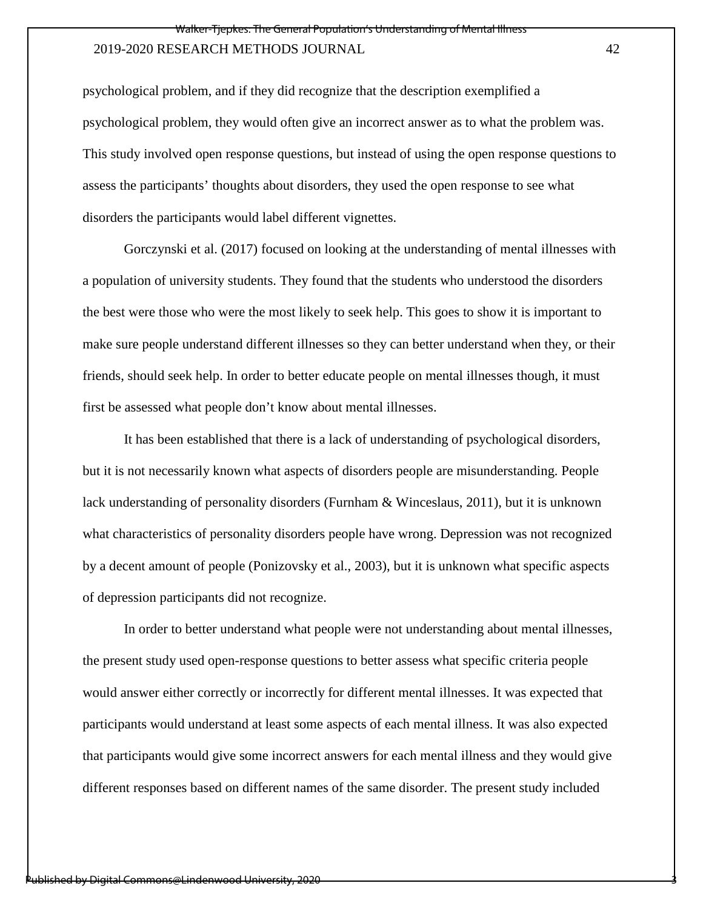psychological problem, and if they did recognize that the description exemplified a psychological problem, they would often give an incorrect answer as to what the problem was. This study involved open response questions, but instead of using the open response questions to assess the participants' thoughts about disorders, they used the open response to see what disorders the participants would label different vignettes.

Gorczynski et al. (2017) focused on looking at the understanding of mental illnesses with a population of university students. They found that the students who understood the disorders the best were those who were the most likely to seek help. This goes to show it is important to make sure people understand different illnesses so they can better understand when they, or their friends, should seek help. In order to better educate people on mental illnesses though, it must first be assessed what people don't know about mental illnesses.

It has been established that there is a lack of understanding of psychological disorders, but it is not necessarily known what aspects of disorders people are misunderstanding. People lack understanding of personality disorders (Furnham & Winceslaus, 2011), but it is unknown what characteristics of personality disorders people have wrong. Depression was not recognized by a decent amount of people (Ponizovsky et al., 2003), but it is unknown what specific aspects of depression participants did not recognize.

In order to better understand what people were not understanding about mental illnesses, the present study used open-response questions to better assess what specific criteria people would answer either correctly or incorrectly for different mental illnesses. It was expected that participants would understand at least some aspects of each mental illness. It was also expected that participants would give some incorrect answers for each mental illness and they would give different responses based on different names of the same disorder. The present study included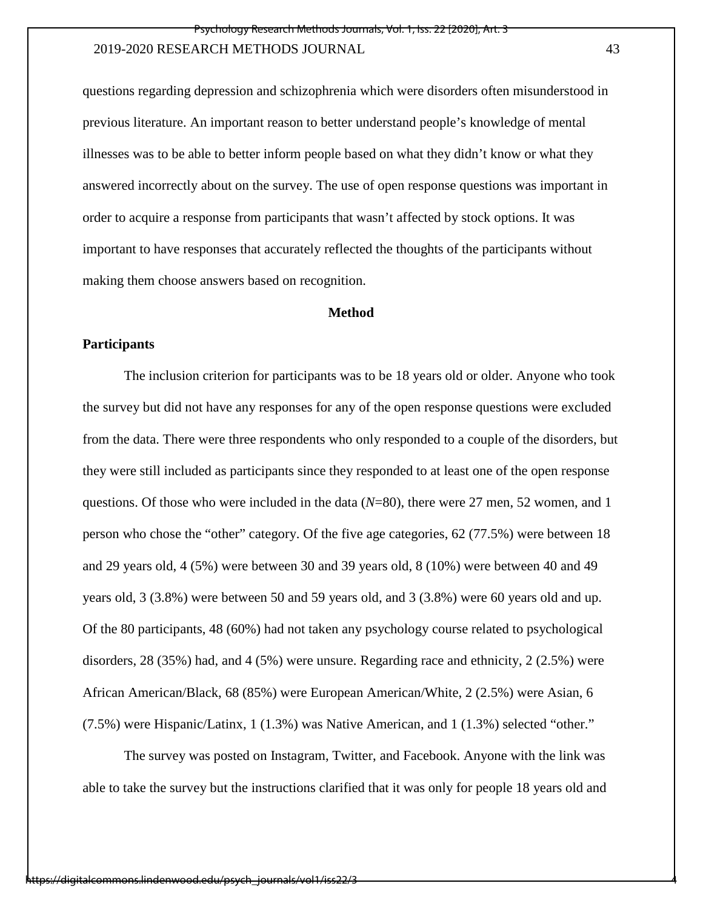questions regarding depression and schizophrenia which were disorders often misunderstood in previous literature. An important reason to better understand people's knowledge of mental illnesses was to be able to better inform people based on what they didn't know or what they answered incorrectly about on the survey. The use of open response questions was important in order to acquire a response from participants that wasn't affected by stock options. It was important to have responses that accurately reflected the thoughts of the participants without making them choose answers based on recognition.

### **Method**

### **Participants**

The inclusion criterion for participants was to be 18 years old or older. Anyone who took the survey but did not have any responses for any of the open response questions were excluded from the data. There were three respondents who only responded to a couple of the disorders, but they were still included as participants since they responded to at least one of the open response questions. Of those who were included in the data (*N*=80), there were 27 men, 52 women, and 1 person who chose the "other" category. Of the five age categories, 62 (77.5%) were between 18 and 29 years old, 4 (5%) were between 30 and 39 years old, 8 (10%) were between 40 and 49 years old, 3 (3.8%) were between 50 and 59 years old, and 3 (3.8%) were 60 years old and up. Of the 80 participants, 48 (60%) had not taken any psychology course related to psychological disorders, 28 (35%) had, and 4 (5%) were unsure. Regarding race and ethnicity, 2 (2.5%) were African American/Black, 68 (85%) were European American/White, 2 (2.5%) were Asian, 6 (7.5%) were Hispanic/Latinx, 1 (1.3%) was Native American, and 1 (1.3%) selected "other."

 The survey was posted on Instagram, Twitter, and Facebook. Anyone with the link was able to take the survey but the instructions clarified that it was only for people 18 years old and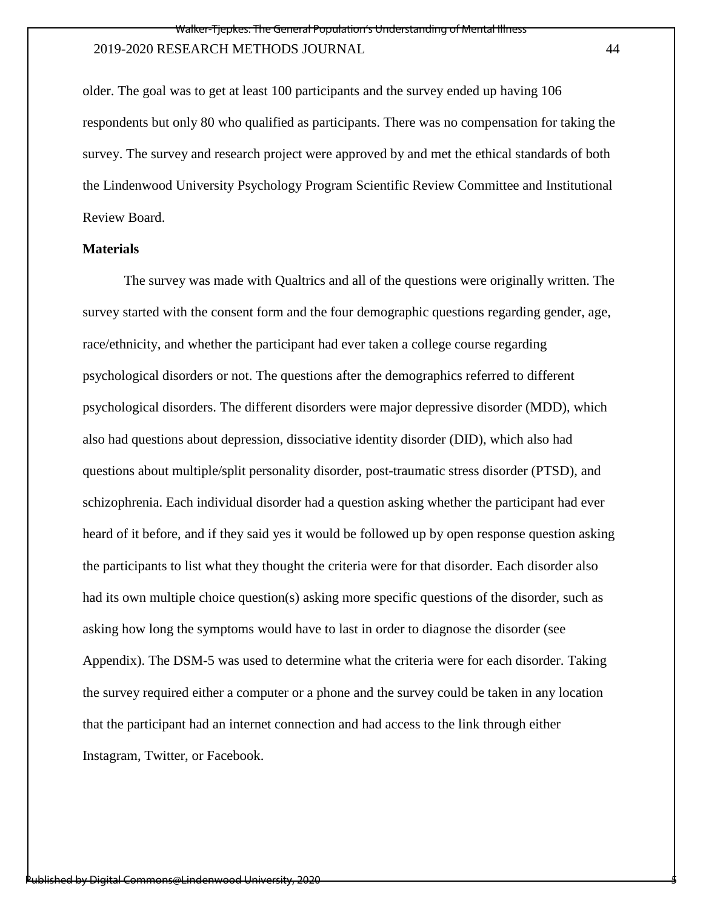older. The goal was to get at least 100 participants and the survey ended up having 106 respondents but only 80 who qualified as participants. There was no compensation for taking the survey. The survey and research project were approved by and met the ethical standards of both the Lindenwood University Psychology Program Scientific Review Committee and Institutional Review Board.

### **Materials**

 The survey was made with Qualtrics and all of the questions were originally written. The survey started with the consent form and the four demographic questions regarding gender, age, race/ethnicity, and whether the participant had ever taken a college course regarding psychological disorders or not. The questions after the demographics referred to different psychological disorders. The different disorders were major depressive disorder (MDD), which also had questions about depression, dissociative identity disorder (DID), which also had questions about multiple/split personality disorder, post-traumatic stress disorder (PTSD), and schizophrenia. Each individual disorder had a question asking whether the participant had ever heard of it before, and if they said yes it would be followed up by open response question asking the participants to list what they thought the criteria were for that disorder. Each disorder also had its own multiple choice question(s) asking more specific questions of the disorder, such as asking how long the symptoms would have to last in order to diagnose the disorder (see Appendix). The DSM-5 was used to determine what the criteria were for each disorder. Taking the survey required either a computer or a phone and the survey could be taken in any location that the participant had an internet connection and had access to the link through either Instagram, Twitter, or Facebook.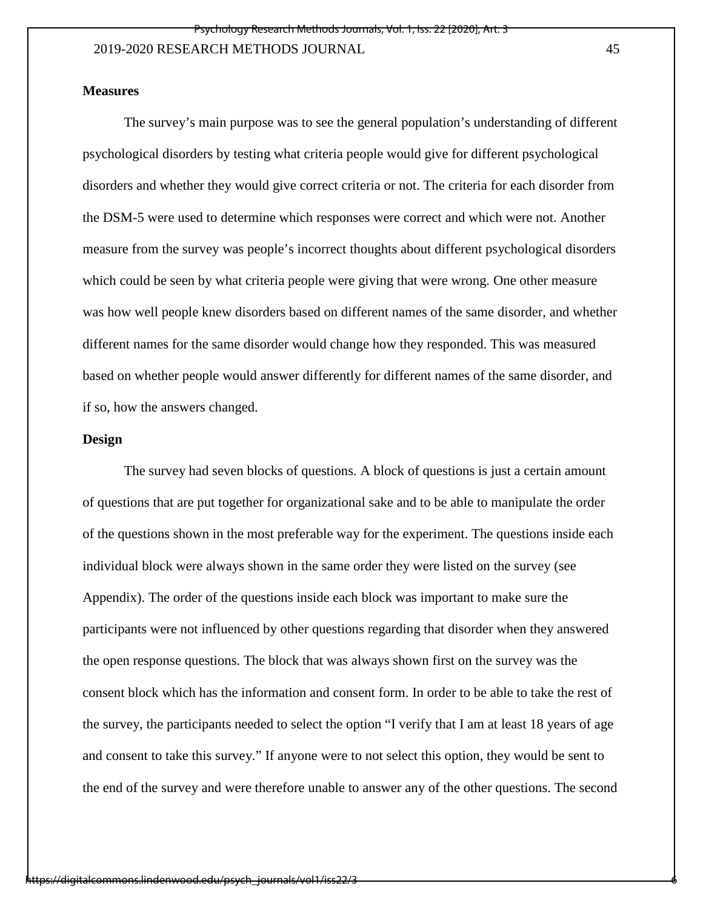## **Measures**

 The survey's main purpose was to see the general population's understanding of different psychological disorders by testing what criteria people would give for different psychological disorders and whether they would give correct criteria or not. The criteria for each disorder from the DSM-5 were used to determine which responses were correct and which were not. Another measure from the survey was people's incorrect thoughts about different psychological disorders which could be seen by what criteria people were giving that were wrong. One other measure was how well people knew disorders based on different names of the same disorder, and whether different names for the same disorder would change how they responded. This was measured based on whether people would answer differently for different names of the same disorder, and if so, how the answers changed.

### **Design**

 The survey had seven blocks of questions. A block of questions is just a certain amount of questions that are put together for organizational sake and to be able to manipulate the order of the questions shown in the most preferable way for the experiment. The questions inside each individual block were always shown in the same order they were listed on the survey (see Appendix). The order of the questions inside each block was important to make sure the participants were not influenced by other questions regarding that disorder when they answered the open response questions. The block that was always shown first on the survey was the consent block which has the information and consent form. In order to be able to take the rest of the survey, the participants needed to select the option "I verify that I am at least 18 years of age and consent to take this survey." If anyone were to not select this option, they would be sent to the end of the survey and were therefore unable to answer any of the other questions. The second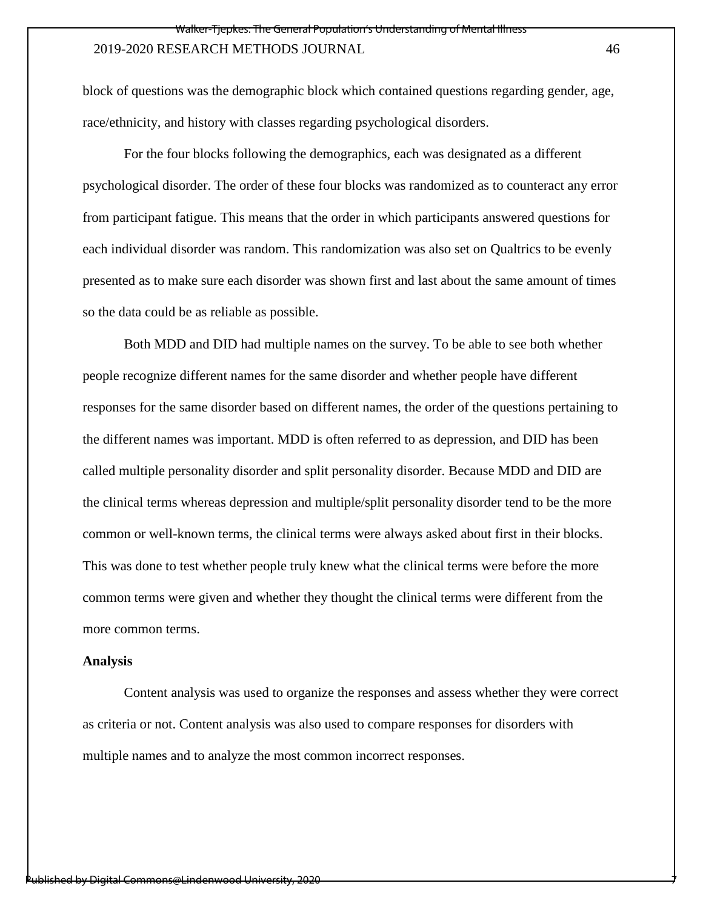block of questions was the demographic block which contained questions regarding gender, age, race/ethnicity, and history with classes regarding psychological disorders.

 For the four blocks following the demographics, each was designated as a different psychological disorder. The order of these four blocks was randomized as to counteract any error from participant fatigue. This means that the order in which participants answered questions for each individual disorder was random. This randomization was also set on Qualtrics to be evenly presented as to make sure each disorder was shown first and last about the same amount of times so the data could be as reliable as possible.

 Both MDD and DID had multiple names on the survey. To be able to see both whether people recognize different names for the same disorder and whether people have different responses for the same disorder based on different names, the order of the questions pertaining to the different names was important. MDD is often referred to as depression, and DID has been called multiple personality disorder and split personality disorder. Because MDD and DID are the clinical terms whereas depression and multiple/split personality disorder tend to be the more common or well-known terms, the clinical terms were always asked about first in their blocks. This was done to test whether people truly knew what the clinical terms were before the more common terms were given and whether they thought the clinical terms were different from the more common terms.

#### **Analysis**

 Content analysis was used to organize the responses and assess whether they were correct as criteria or not. Content analysis was also used to compare responses for disorders with multiple names and to analyze the most common incorrect responses.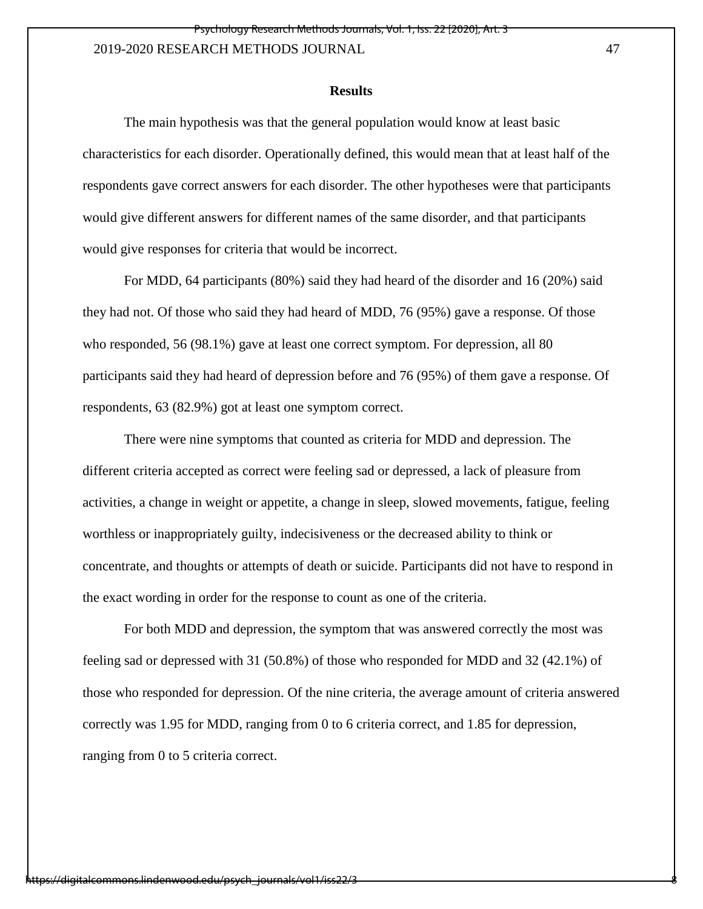#### **Results**

The main hypothesis was that the general population would know at least basic characteristics for each disorder. Operationally defined, this would mean that at least half of the respondents gave correct answers for each disorder. The other hypotheses were that participants would give different answers for different names of the same disorder, and that participants would give responses for criteria that would be incorrect.

For MDD, 64 participants (80%) said they had heard of the disorder and 16 (20%) said they had not. Of those who said they had heard of MDD, 76 (95%) gave a response. Of those who responded, 56 (98.1%) gave at least one correct symptom. For depression, all 80 participants said they had heard of depression before and 76 (95%) of them gave a response. Of respondents, 63 (82.9%) got at least one symptom correct.

There were nine symptoms that counted as criteria for MDD and depression. The different criteria accepted as correct were feeling sad or depressed, a lack of pleasure from activities, a change in weight or appetite, a change in sleep, slowed movements, fatigue, feeling worthless or inappropriately guilty, indecisiveness or the decreased ability to think or concentrate, and thoughts or attempts of death or suicide. Participants did not have to respond in the exact wording in order for the response to count as one of the criteria.

For both MDD and depression, the symptom that was answered correctly the most was feeling sad or depressed with 31 (50.8%) of those who responded for MDD and 32 (42.1%) of those who responded for depression. Of the nine criteria, the average amount of criteria answered correctly was 1.95 for MDD, ranging from 0 to 6 criteria correct, and 1.85 for depression, ranging from 0 to 5 criteria correct.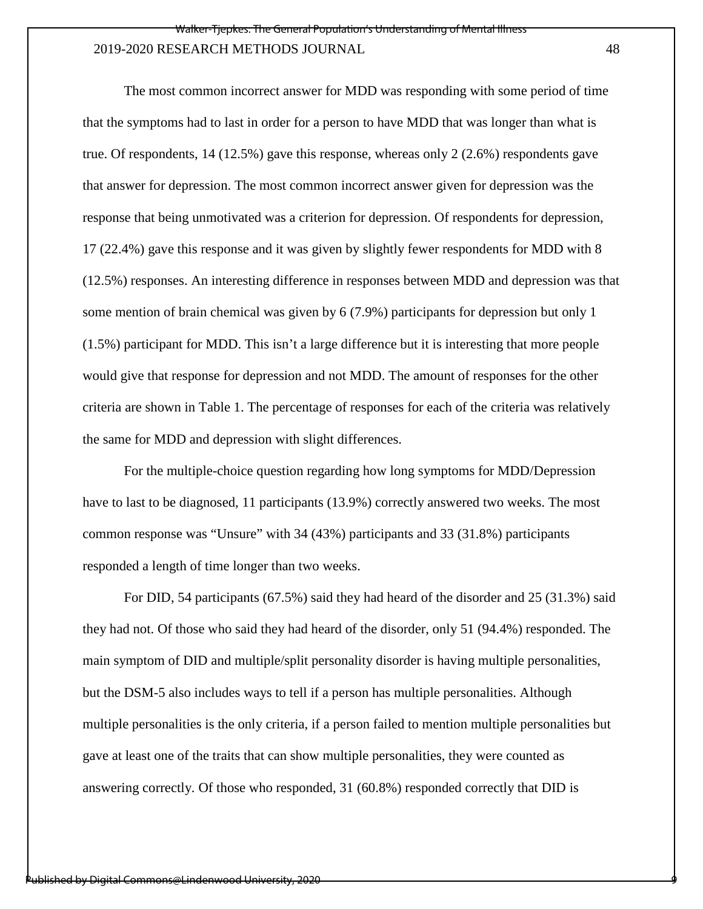The most common incorrect answer for MDD was responding with some period of time that the symptoms had to last in order for a person to have MDD that was longer than what is true. Of respondents, 14 (12.5%) gave this response, whereas only 2 (2.6%) respondents gave that answer for depression. The most common incorrect answer given for depression was the response that being unmotivated was a criterion for depression. Of respondents for depression, 17 (22.4%) gave this response and it was given by slightly fewer respondents for MDD with 8 (12.5%) responses. An interesting difference in responses between MDD and depression was that some mention of brain chemical was given by 6 (7.9%) participants for depression but only 1 (1.5%) participant for MDD. This isn't a large difference but it is interesting that more people would give that response for depression and not MDD. The amount of responses for the other criteria are shown in Table 1. The percentage of responses for each of the criteria was relatively the same for MDD and depression with slight differences.

For the multiple-choice question regarding how long symptoms for MDD/Depression have to last to be diagnosed, 11 participants (13.9%) correctly answered two weeks. The most common response was "Unsure" with 34 (43%) participants and 33 (31.8%) participants responded a length of time longer than two weeks.

 For DID, 54 participants (67.5%) said they had heard of the disorder and 25 (31.3%) said they had not. Of those who said they had heard of the disorder, only 51 (94.4%) responded. The main symptom of DID and multiple/split personality disorder is having multiple personalities, but the DSM-5 also includes ways to tell if a person has multiple personalities. Although multiple personalities is the only criteria, if a person failed to mention multiple personalities but gave at least one of the traits that can show multiple personalities, they were counted as answering correctly. Of those who responded, 31 (60.8%) responded correctly that DID is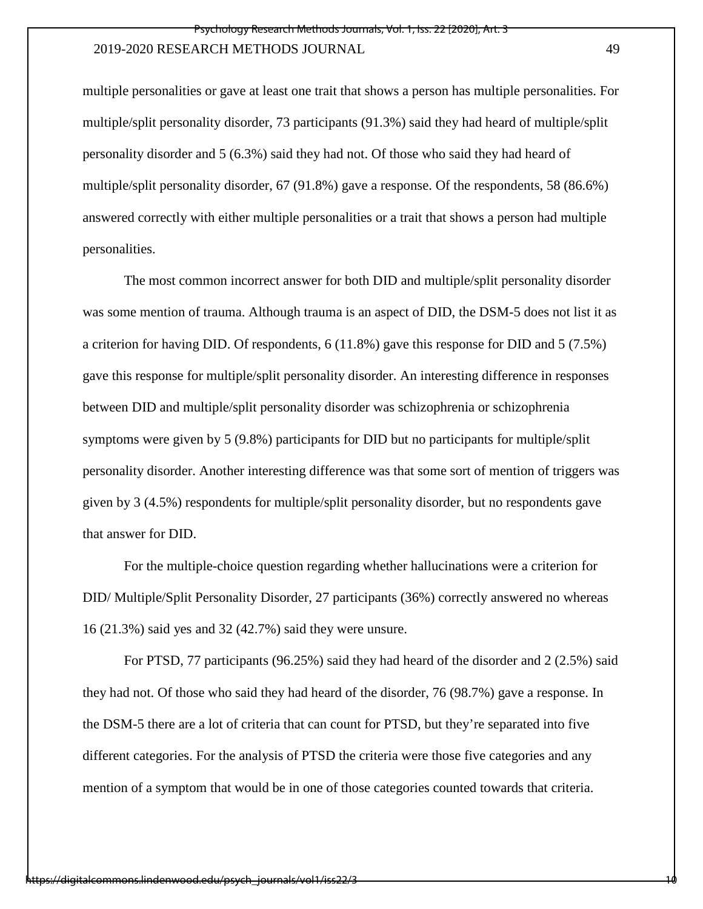multiple personalities or gave at least one trait that shows a person has multiple personalities. For multiple/split personality disorder, 73 participants (91.3%) said they had heard of multiple/split personality disorder and 5 (6.3%) said they had not. Of those who said they had heard of multiple/split personality disorder, 67 (91.8%) gave a response. Of the respondents, 58 (86.6%) answered correctly with either multiple personalities or a trait that shows a person had multiple personalities.

The most common incorrect answer for both DID and multiple/split personality disorder was some mention of trauma. Although trauma is an aspect of DID, the DSM-5 does not list it as a criterion for having DID. Of respondents, 6 (11.8%) gave this response for DID and 5 (7.5%) gave this response for multiple/split personality disorder. An interesting difference in responses between DID and multiple/split personality disorder was schizophrenia or schizophrenia symptoms were given by 5 (9.8%) participants for DID but no participants for multiple/split personality disorder. Another interesting difference was that some sort of mention of triggers was given by 3 (4.5%) respondents for multiple/split personality disorder, but no respondents gave that answer for DID.

For the multiple-choice question regarding whether hallucinations were a criterion for DID/ Multiple/Split Personality Disorder, 27 participants (36%) correctly answered no whereas 16 (21.3%) said yes and 32 (42.7%) said they were unsure.

 For PTSD, 77 participants (96.25%) said they had heard of the disorder and 2 (2.5%) said they had not. Of those who said they had heard of the disorder, 76 (98.7%) gave a response. In the DSM-5 there are a lot of criteria that can count for PTSD, but they're separated into five different categories. For the analysis of PTSD the criteria were those five categories and any mention of a symptom that would be in one of those categories counted towards that criteria.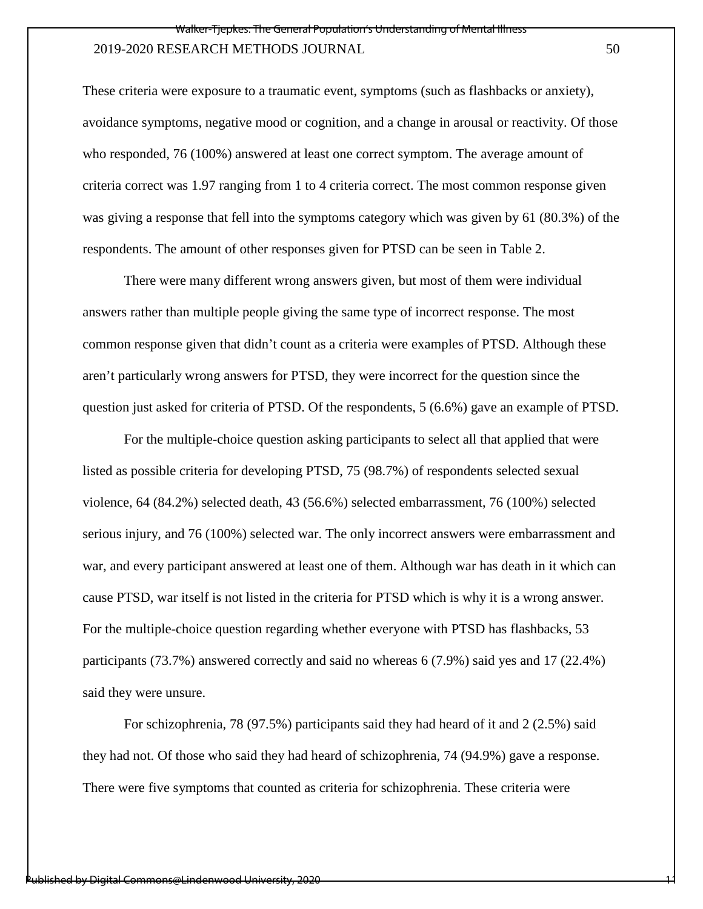These criteria were exposure to a traumatic event, symptoms (such as flashbacks or anxiety), avoidance symptoms, negative mood or cognition, and a change in arousal or reactivity. Of those who responded, 76 (100%) answered at least one correct symptom. The average amount of criteria correct was 1.97 ranging from 1 to 4 criteria correct. The most common response given was giving a response that fell into the symptoms category which was given by 61 (80.3%) of the respondents. The amount of other responses given for PTSD can be seen in Table 2.

There were many different wrong answers given, but most of them were individual answers rather than multiple people giving the same type of incorrect response. The most common response given that didn't count as a criteria were examples of PTSD. Although these aren't particularly wrong answers for PTSD, they were incorrect for the question since the question just asked for criteria of PTSD. Of the respondents, 5 (6.6%) gave an example of PTSD.

For the multiple-choice question asking participants to select all that applied that were listed as possible criteria for developing PTSD, 75 (98.7%) of respondents selected sexual violence, 64 (84.2%) selected death, 43 (56.6%) selected embarrassment, 76 (100%) selected serious injury, and 76 (100%) selected war. The only incorrect answers were embarrassment and war, and every participant answered at least one of them. Although war has death in it which can cause PTSD, war itself is not listed in the criteria for PTSD which is why it is a wrong answer. For the multiple-choice question regarding whether everyone with PTSD has flashbacks, 53 participants (73.7%) answered correctly and said no whereas 6 (7.9%) said yes and 17 (22.4%) said they were unsure.

 For schizophrenia, 78 (97.5%) participants said they had heard of it and 2 (2.5%) said they had not. Of those who said they had heard of schizophrenia, 74 (94.9%) gave a response. There were five symptoms that counted as criteria for schizophrenia. These criteria were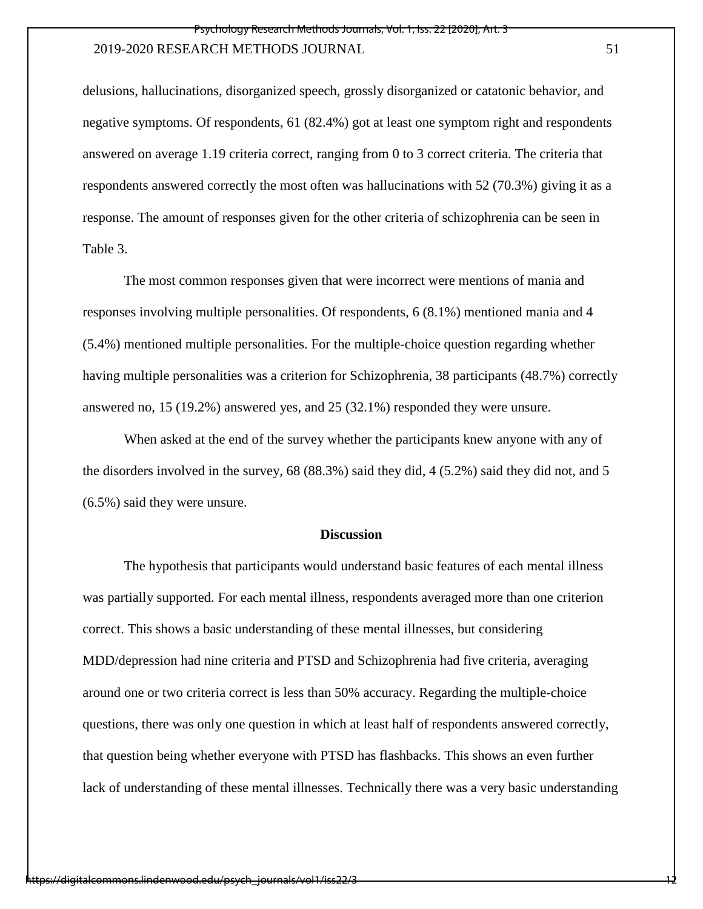delusions, hallucinations, disorganized speech, grossly disorganized or catatonic behavior, and negative symptoms. Of respondents, 61 (82.4%) got at least one symptom right and respondents answered on average 1.19 criteria correct, ranging from 0 to 3 correct criteria. The criteria that respondents answered correctly the most often was hallucinations with 52 (70.3%) giving it as a response. The amount of responses given for the other criteria of schizophrenia can be seen in Table 3.

The most common responses given that were incorrect were mentions of mania and responses involving multiple personalities. Of respondents, 6 (8.1%) mentioned mania and 4 (5.4%) mentioned multiple personalities. For the multiple-choice question regarding whether having multiple personalities was a criterion for Schizophrenia, 38 participants (48.7%) correctly answered no, 15 (19.2%) answered yes, and 25 (32.1%) responded they were unsure.

 When asked at the end of the survey whether the participants knew anyone with any of the disorders involved in the survey, 68 (88.3%) said they did, 4 (5.2%) said they did not, and 5 (6.5%) said they were unsure.

### **Discussion**

 The hypothesis that participants would understand basic features of each mental illness was partially supported. For each mental illness, respondents averaged more than one criterion correct. This shows a basic understanding of these mental illnesses, but considering MDD/depression had nine criteria and PTSD and Schizophrenia had five criteria, averaging around one or two criteria correct is less than 50% accuracy. Regarding the multiple-choice questions, there was only one question in which at least half of respondents answered correctly, that question being whether everyone with PTSD has flashbacks. This shows an even further lack of understanding of these mental illnesses. Technically there was a very basic understanding

http://digitalcommons.lindenwood.edu/psych\_journals/vol1/iss2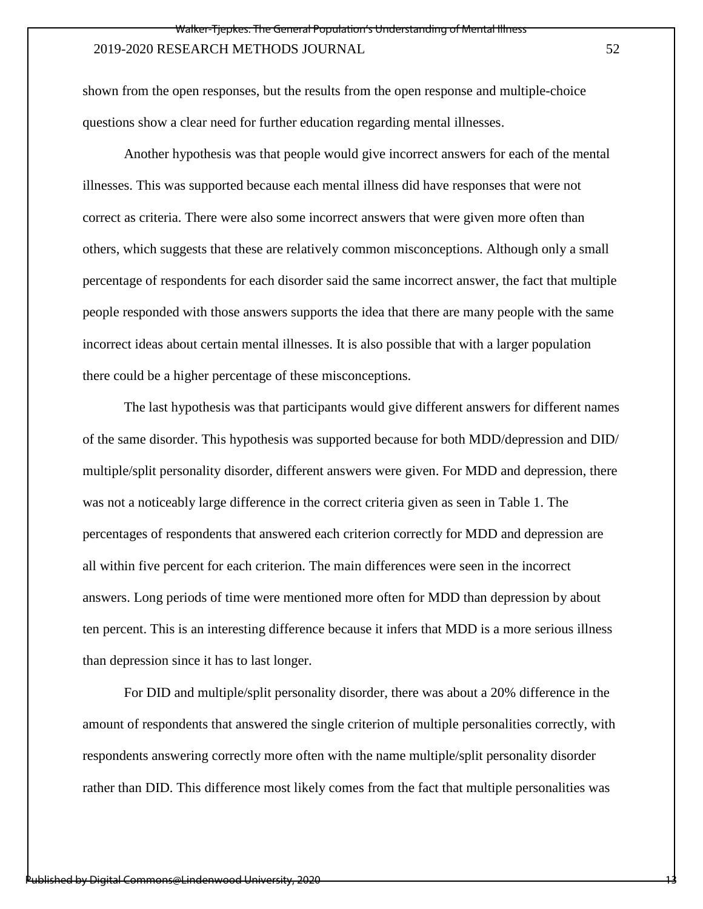shown from the open responses, but the results from the open response and multiple-choice questions show a clear need for further education regarding mental illnesses.

Another hypothesis was that people would give incorrect answers for each of the mental illnesses. This was supported because each mental illness did have responses that were not correct as criteria. There were also some incorrect answers that were given more often than others, which suggests that these are relatively common misconceptions. Although only a small percentage of respondents for each disorder said the same incorrect answer, the fact that multiple people responded with those answers supports the idea that there are many people with the same incorrect ideas about certain mental illnesses. It is also possible that with a larger population there could be a higher percentage of these misconceptions.

The last hypothesis was that participants would give different answers for different names of the same disorder. This hypothesis was supported because for both MDD/depression and DID/ multiple/split personality disorder, different answers were given. For MDD and depression, there was not a noticeably large difference in the correct criteria given as seen in Table 1. The percentages of respondents that answered each criterion correctly for MDD and depression are all within five percent for each criterion. The main differences were seen in the incorrect answers. Long periods of time were mentioned more often for MDD than depression by about ten percent. This is an interesting difference because it infers that MDD is a more serious illness than depression since it has to last longer.

For DID and multiple/split personality disorder, there was about a 20% difference in the amount of respondents that answered the single criterion of multiple personalities correctly, with respondents answering correctly more often with the name multiple/split personality disorder rather than DID. This difference most likely comes from the fact that multiple personalities was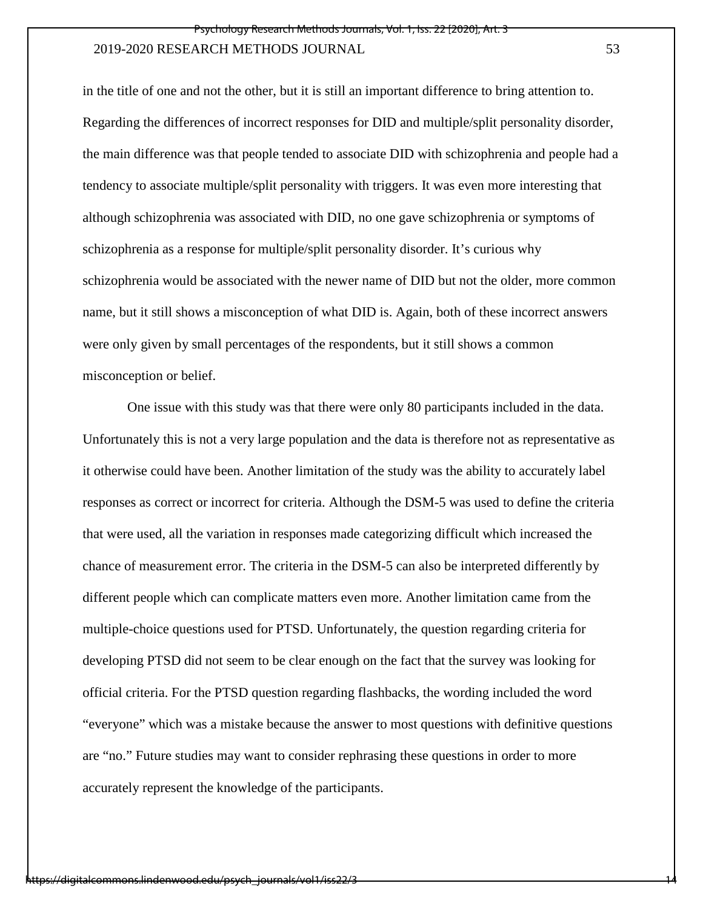in the title of one and not the other, but it is still an important difference to bring attention to. Regarding the differences of incorrect responses for DID and multiple/split personality disorder, the main difference was that people tended to associate DID with schizophrenia and people had a tendency to associate multiple/split personality with triggers. It was even more interesting that although schizophrenia was associated with DID, no one gave schizophrenia or symptoms of schizophrenia as a response for multiple/split personality disorder. It's curious why schizophrenia would be associated with the newer name of DID but not the older, more common name, but it still shows a misconception of what DID is. Again, both of these incorrect answers were only given by small percentages of the respondents, but it still shows a common misconception or belief.

 One issue with this study was that there were only 80 participants included in the data. Unfortunately this is not a very large population and the data is therefore not as representative as it otherwise could have been. Another limitation of the study was the ability to accurately label responses as correct or incorrect for criteria. Although the DSM-5 was used to define the criteria that were used, all the variation in responses made categorizing difficult which increased the chance of measurement error. The criteria in the DSM-5 can also be interpreted differently by different people which can complicate matters even more. Another limitation came from the multiple-choice questions used for PTSD. Unfortunately, the question regarding criteria for developing PTSD did not seem to be clear enough on the fact that the survey was looking for official criteria. For the PTSD question regarding flashbacks, the wording included the word "everyone" which was a mistake because the answer to most questions with definitive questions are "no." Future studies may want to consider rephrasing these questions in order to more accurately represent the knowledge of the participants.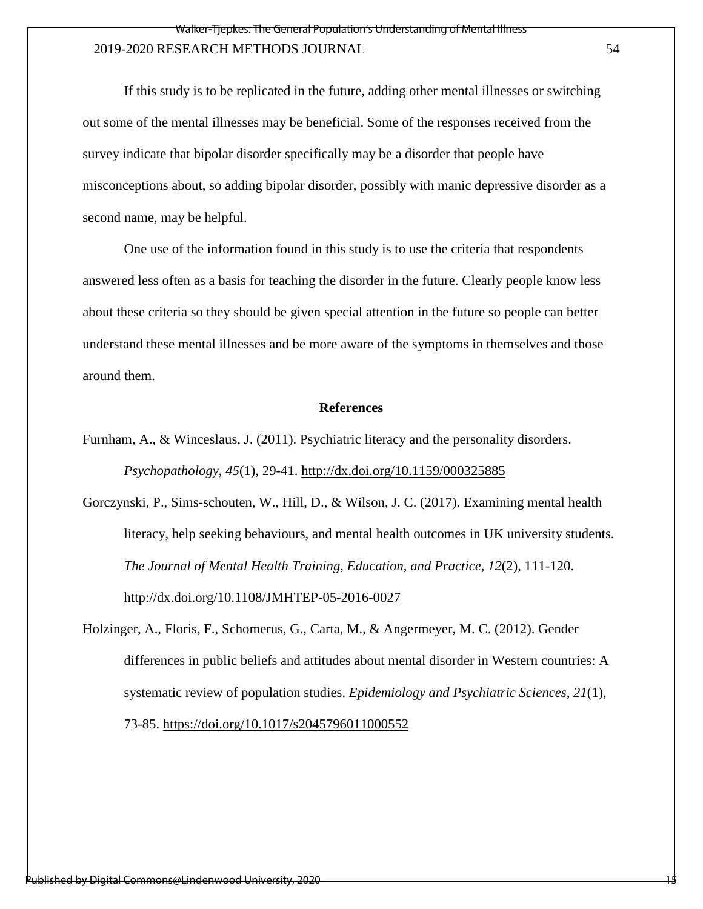If this study is to be replicated in the future, adding other mental illnesses or switching out some of the mental illnesses may be beneficial. Some of the responses received from the survey indicate that bipolar disorder specifically may be a disorder that people have misconceptions about, so adding bipolar disorder, possibly with manic depressive disorder as a second name, may be helpful.

One use of the information found in this study is to use the criteria that respondents answered less often as a basis for teaching the disorder in the future. Clearly people know less about these criteria so they should be given special attention in the future so people can better understand these mental illnesses and be more aware of the symptoms in themselves and those around them.

#### **References**

Furnham, A., & Winceslaus, J. (2011). Psychiatric literacy and the personality disorders. *Psychopathology*, *45*(1), 29-41.<http://dx.doi.org/10.1159/000325885>

Gorczynski, P., Sims-schouten, W., Hill, D., & Wilson, J. C. (2017). Examining mental health literacy, help seeking behaviours, and mental health outcomes in UK university students. *The Journal of Mental Health Training, Education, and Practice*, *12*(2), 111-120. <http://dx.doi.org/10.1108/JMHTEP-05-2016-0027>

Holzinger, A., Floris, F., Schomerus, G., Carta, M., & Angermeyer, M. C. (2012). Gender differences in public beliefs and attitudes about mental disorder in Western countries: A systematic review of population studies. *Epidemiology and Psychiatric Sciences*, *21*(1), 73-85.<https://doi.org/10.1017/s2045796011000552>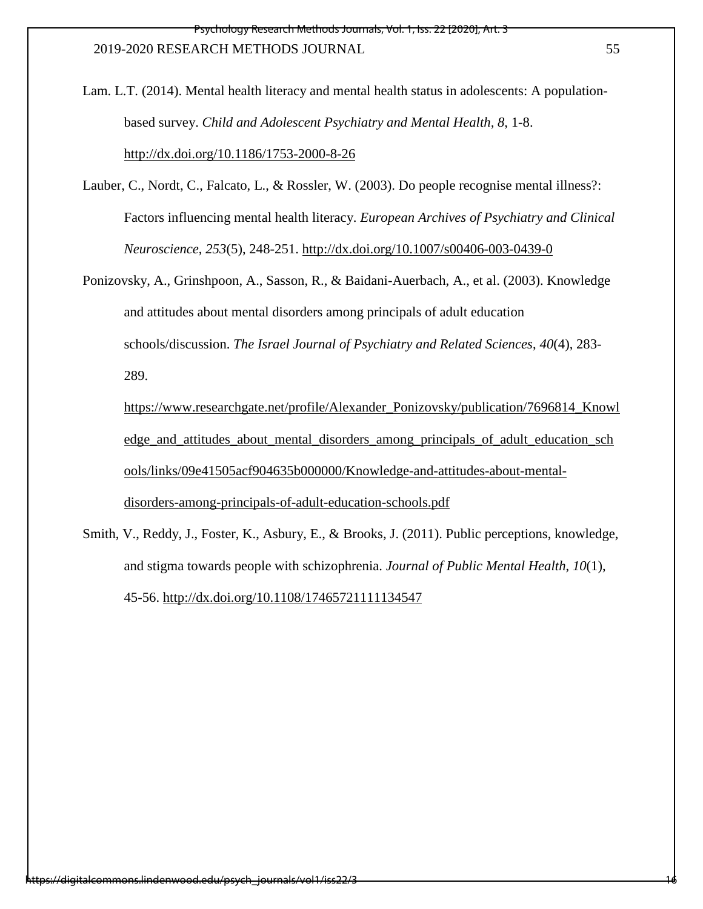Lam. L.T. (2014). Mental health literacy and mental health status in adolescents: A populationbased survey. *Child and Adolescent Psychiatry and Mental Health, 8*, 1-8. <http://dx.doi.org/10.1186/1753-2000-8-26>

- Lauber, C., Nordt, C., Falcato, L., & Rossler, W. (2003). Do people recognise mental illness?: Factors influencing mental health literacy. *European Archives of Psychiatry and Clinical Neuroscience*, *253*(5), 248-251.<http://dx.doi.org/10.1007/s00406-003-0439-0>
- Ponizovsky, A., Grinshpoon, A., Sasson, R., & Baidani-Auerbach, A., et al. (2003). Knowledge and attitudes about mental disorders among principals of adult education schools/discussion. *The Israel Journal of Psychiatry and Related Sciences*, *40*(4), 283- 289.
	- [https://www.researchgate.net/profile/Alexander\\_Ponizovsky/publication/7696814\\_Knowl](https://www.researchgate.net/profile/Alexander_Ponizovsky/publication/7696814_Knowledge_and_attitudes_about_mental_disorders_among_principals_of_adult_education_schools/links/09e41505acf904635b000000/Knowledge-and-attitudes-about-mental-disorders-among-principals-of-adult-education-schools.pdf) edge and attitudes about mental disorders among principals of adult education sch [ools/links/09e41505acf904635b000000/Knowledge-and-attitudes-about-mental](https://www.researchgate.net/profile/Alexander_Ponizovsky/publication/7696814_Knowledge_and_attitudes_about_mental_disorders_among_principals_of_adult_education_schools/links/09e41505acf904635b000000/Knowledge-and-attitudes-about-mental-disorders-among-principals-of-adult-education-schools.pdf)[disorders-among-principals-of-adult-education-schools.pdf](https://www.researchgate.net/profile/Alexander_Ponizovsky/publication/7696814_Knowledge_and_attitudes_about_mental_disorders_among_principals_of_adult_education_schools/links/09e41505acf904635b000000/Knowledge-and-attitudes-about-mental-disorders-among-principals-of-adult-education-schools.pdf)
- Smith, V., Reddy, J., Foster, K., Asbury, E., & Brooks, J. (2011). Public perceptions, knowledge, and stigma towards people with schizophrenia. *Journal of Public Mental Health*, *10*(1), 45-56.<http://dx.doi.org/10.1108/17465721111134547>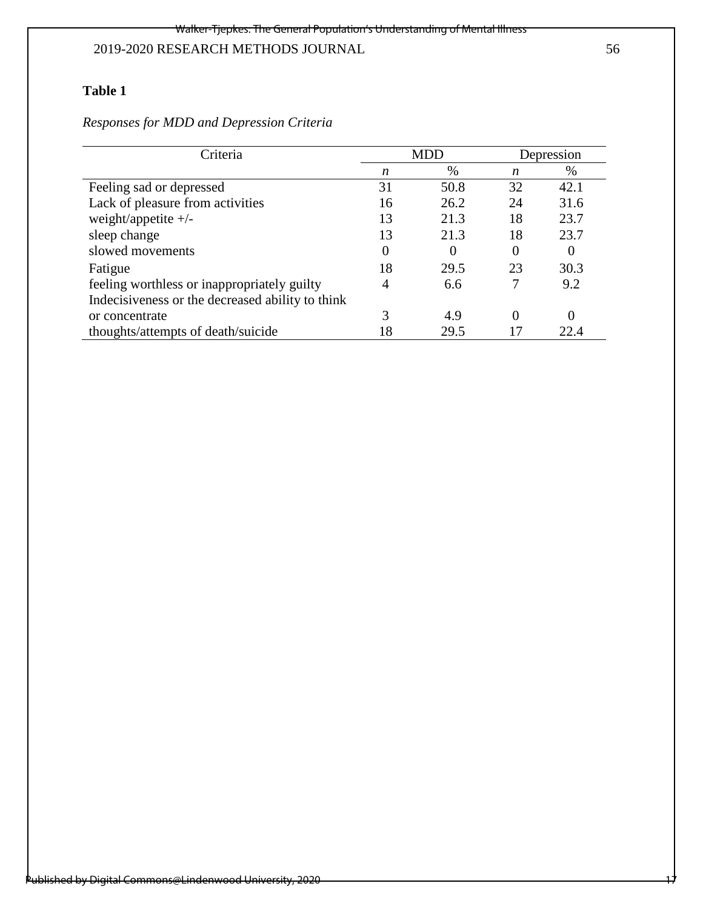# **Table 1**

| Responses for MDD and Depression Criteria |  |  |  |  |  |  |
|-------------------------------------------|--|--|--|--|--|--|
|-------------------------------------------|--|--|--|--|--|--|

| Criteria                                         | <b>MDD</b> |      | Depression |      |
|--------------------------------------------------|------------|------|------------|------|
|                                                  | n          | $\%$ | n          | $\%$ |
| Feeling sad or depressed                         | 31         | 50.8 | 32         | 42.1 |
| Lack of pleasure from activities                 | 16         | 26.2 | 24         | 31.6 |
| weight/appetite $+/-$                            | 13         | 21.3 | 18         | 23.7 |
| sleep change                                     | 13         | 21.3 | 18         | 23.7 |
| slowed movements                                 | 0          | 0    | $\theta$   | 0    |
| Fatigue                                          | 18         | 29.5 | 23         | 30.3 |
| feeling worthless or inappropriately guilty      | 4          | 6.6  |            | 9.2  |
| Indecisiveness or the decreased ability to think |            |      |            |      |
| or concentrate                                   |            | 4.9  | 0          | 0    |
| thoughts/attempts of death/suicide               |            | 29.5 |            | 22.4 |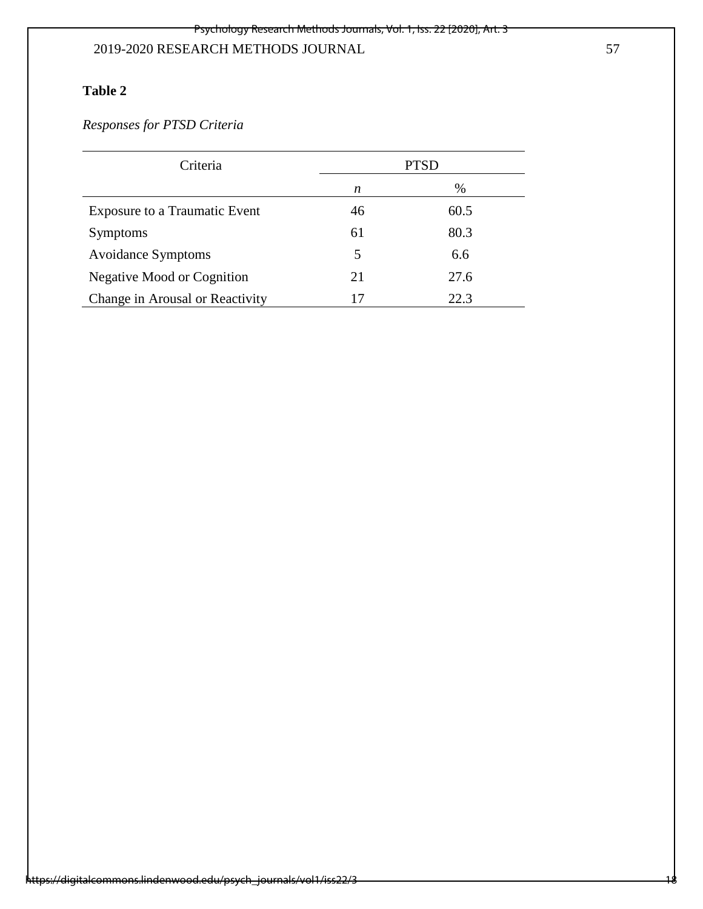# **Table 2**

*Responses for PTSD Criteria*

| Criteria                             |    | <b>PTSD</b> |
|--------------------------------------|----|-------------|
|                                      | n  | %           |
| <b>Exposure to a Traumatic Event</b> | 46 | 60.5        |
| <b>Symptoms</b>                      | 61 | 80.3        |
| <b>Avoidance Symptoms</b>            | 5  | 6.6         |
| Negative Mood or Cognition           | 21 | 27.6        |
| Change in Arousal or Reactivity      | 17 | 22.3        |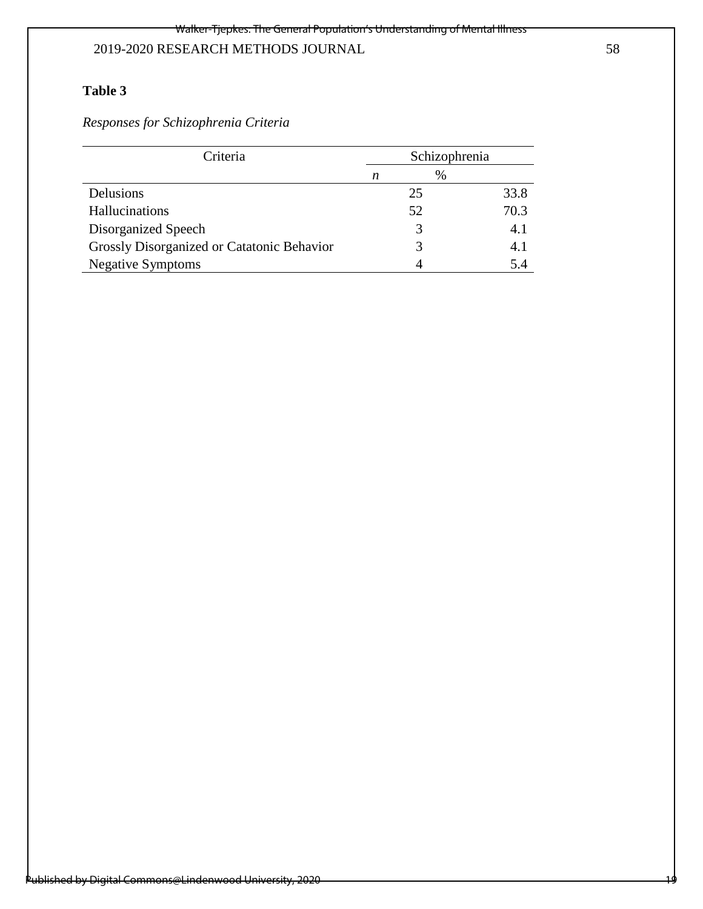# **Table 3**

*Responses for Schizophrenia Criteria*

| Criteria                                   | Schizophrenia |   |      |
|--------------------------------------------|---------------|---|------|
|                                            | n             | % |      |
| <b>Delusions</b>                           | 25            |   | 33.8 |
| Hallucinations                             | 52            |   | 70.3 |
| Disorganized Speech                        | 3             |   | 4.1  |
| Grossly Disorganized or Catatonic Behavior | 3             |   | 4.1  |
| <b>Negative Symptoms</b>                   |               |   | 5.4  |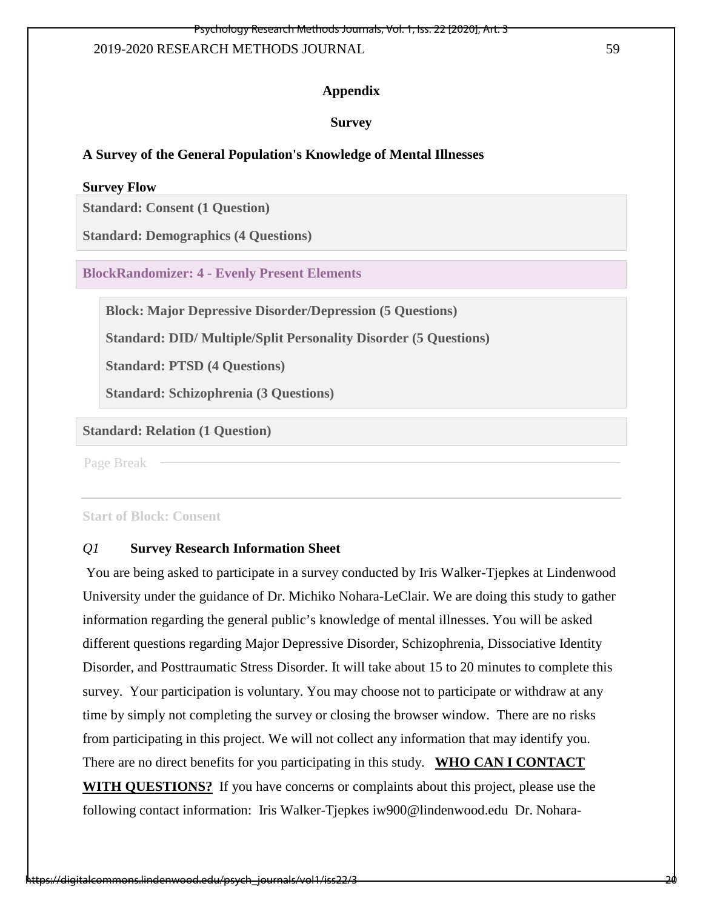### **Appendix**

### **Survey**

## **A Survey of the General Population's Knowledge of Mental Illnesses**

#### **Survey Flow**

**Standard: Consent (1 Question)**

**Standard: Demographics (4 Questions)**

**BlockRandomizer: 4 - Evenly Present Elements**

**Block: Major Depressive Disorder/Depression (5 Questions)**

**Standard: DID/ Multiple/Split Personality Disorder (5 Questions)**

**Standard: PTSD (4 Questions)**

**Standard: Schizophrenia (3 Questions)**

## **Standard: Relation (1 Question)**

Page Break

**Start of Block: Consent** 

## *Q1* **Survey Research Information Sheet**

You are being asked to participate in a survey conducted by Iris Walker-Tjepkes at Lindenwood University under the guidance of Dr. Michiko Nohara-LeClair. We are doing this study to gather information regarding the general public's knowledge of mental illnesses. You will be asked different questions regarding Major Depressive Disorder, Schizophrenia, Dissociative Identity Disorder, and Posttraumatic Stress Disorder. It will take about 15 to 20 minutes to complete this survey. Your participation is voluntary. You may choose not to participate or withdraw at any time by simply not completing the survey or closing the browser window. There are no risks from participating in this project. We will not collect any information that may identify you. There are no direct benefits for you participating in this study. **WHO CAN I CONTACT WITH QUESTIONS?** If you have concerns or complaints about this project, please use the following contact information: Iris Walker-Tjepkes iw900@lindenwood.edu Dr. Nohara-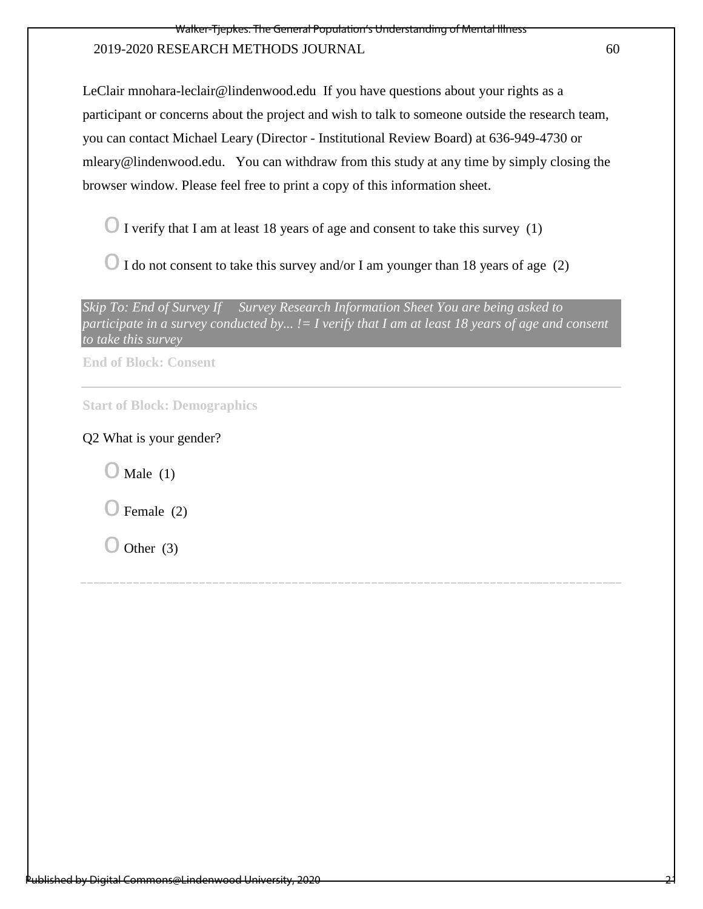LeClair mnohara-leclair@lindenwood.edu If you have questions about your rights as a participant or concerns about the project and wish to talk to someone outside the research team, you can contact Michael Leary (Director - Institutional Review Board) at 636-949-4730 or mleary@lindenwood.edu. You can withdraw from this study at any time by simply closing the browser window. Please feel free to print a copy of this information sheet.

 $\bigcirc$  I verify that I am at least 18 years of age and consent to take this survey (1)

 $\bigcirc$  I do not consent to take this survey and/or I am younger than 18 years of age (2)

**End of Block: Consent**

**Start of Block: Demographics** 

## Q2 What is your gender?

 $\bigcirc$  Male (1)

Female  $(2)$ 

 $\bigcirc$  Other (3)

*Skip To: End of Survey If Survey Research Information Sheet You are being asked to participate in a survey conducted by... != I verify that I am at least 18 years of age and consent to take this survey*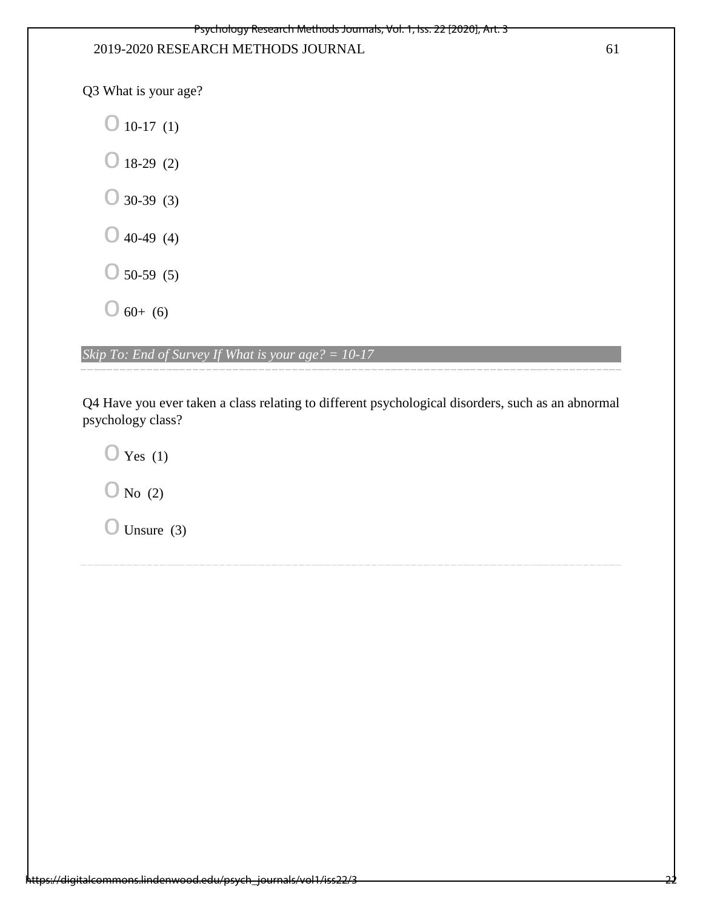Q3 What is your age?

 $\bigcirc$  10-17 (1)  $\bigcirc$  18-29 (2)  $\bigcirc$  30-39 (3)  $\bigcirc$  40-49 (4)  $\bigcirc$  50-59 (5)  $\bigcirc$  60+ (6)

*Skip To: End of Survey If What is your age? = 10-17* 

Q4 Have you ever taken a class relating to different psychological disorders, such as an abnormal psychology class?

 $\bigcirc$  Yes (1)

 $\bigcirc$  No (2)

 $\bigcirc$  Unsure (3)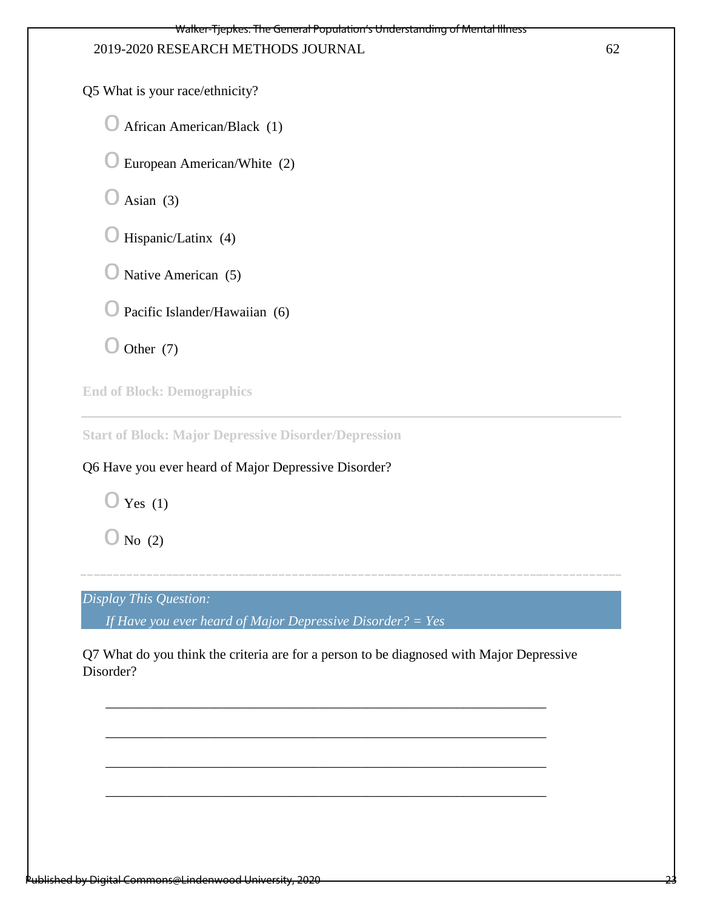Q5 What is your race/ethnicity?

 $\bigcirc$  African American/Black (1)

 $\bigcirc$  European American/White (2)

 $\bigcirc$  Asian (3)

 $\bigcirc$  Hispanic/Latinx (4)

 $\bigcirc$  Native American (5)

 $\bigcirc$  Pacific Islander/Hawaiian (6)

 $\bigcirc$  Other (7)

**End of Block: Demographics**

**Start of Block: Major Depressive Disorder/Depression**

Q6 Have you ever heard of Major Depressive Disorder?

 $\bigcirc$  Yes (1)

 $\bigcirc$  No (2)

*Display This Question:* 

*If Have you ever heard of Major Depressive Disorder? = Yes*

Q7 What do you think the criteria are for a person to be diagnosed with Major Depressive Disorder?

\_\_\_\_\_\_\_\_\_\_\_\_\_\_\_\_\_\_\_\_\_\_\_\_\_\_\_\_\_\_\_\_\_\_\_\_\_\_\_\_\_\_\_\_\_\_\_\_\_\_\_\_\_\_\_\_\_\_\_\_\_\_\_\_

\_\_\_\_\_\_\_\_\_\_\_\_\_\_\_\_\_\_\_\_\_\_\_\_\_\_\_\_\_\_\_\_\_\_\_\_\_\_\_\_\_\_\_\_\_\_\_\_\_\_\_\_\_\_\_\_\_\_\_\_\_\_\_\_

\_\_\_\_\_\_\_\_\_\_\_\_\_\_\_\_\_\_\_\_\_\_\_\_\_\_\_\_\_\_\_\_\_\_\_\_\_\_\_\_\_\_\_\_\_\_\_\_\_\_\_\_\_\_\_\_\_\_\_\_\_\_\_\_

\_\_\_\_\_\_\_\_\_\_\_\_\_\_\_\_\_\_\_\_\_\_\_\_\_\_\_\_\_\_\_\_\_\_\_\_\_\_\_\_\_\_\_\_\_\_\_\_\_\_\_\_\_\_\_\_\_\_\_\_\_\_\_\_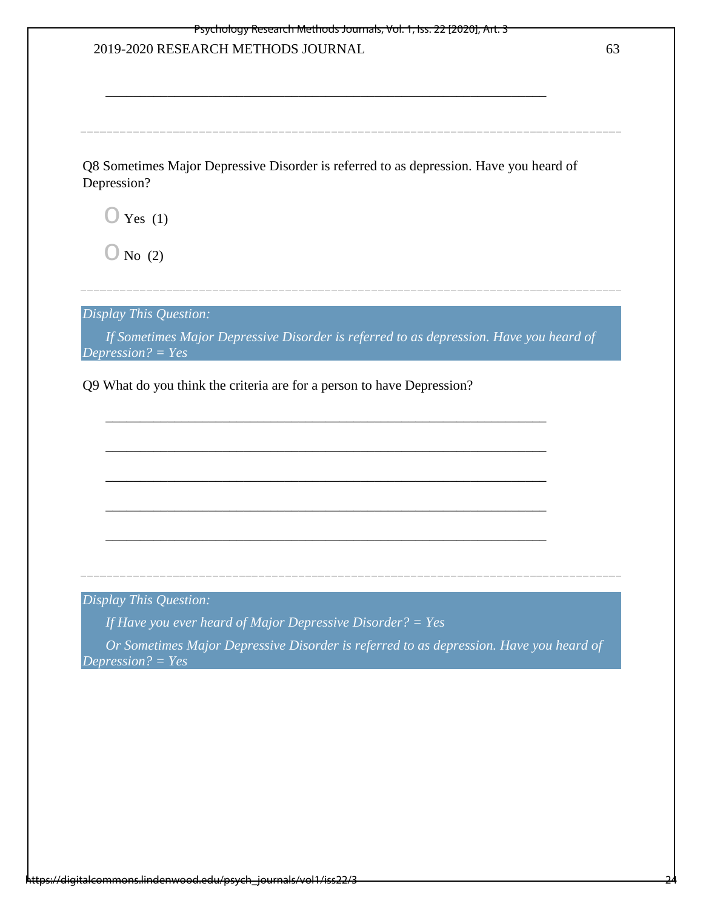| 2019-2020 RESEARCH METHODS JOURNAL                                                                                                                   | 63 |
|------------------------------------------------------------------------------------------------------------------------------------------------------|----|
|                                                                                                                                                      |    |
| Q8 Sometimes Major Depressive Disorder is referred to as depression. Have you heard of<br>Depression?                                                |    |
| $\supset$ Yes (1)                                                                                                                                    |    |
| $\bigcup$ No (2)                                                                                                                                     |    |
| Display This Question:                                                                                                                               |    |
| If Sometimes Major Depressive Disorder is referred to as depression. Have you heard of                                                               |    |
|                                                                                                                                                      |    |
| Depression? = $Yes$<br>Q9 What do you think the criteria are for a person to have Depression?                                                        |    |
|                                                                                                                                                      |    |
|                                                                                                                                                      |    |
| Display This Question:                                                                                                                               |    |
| If Have you ever heard of Major Depressive Disorder? = Yes<br>Or Sometimes Major Depressive Disorder is referred to as depression. Have you heard of |    |
| Depression? = $Yes$                                                                                                                                  |    |
|                                                                                                                                                      |    |
|                                                                                                                                                      |    |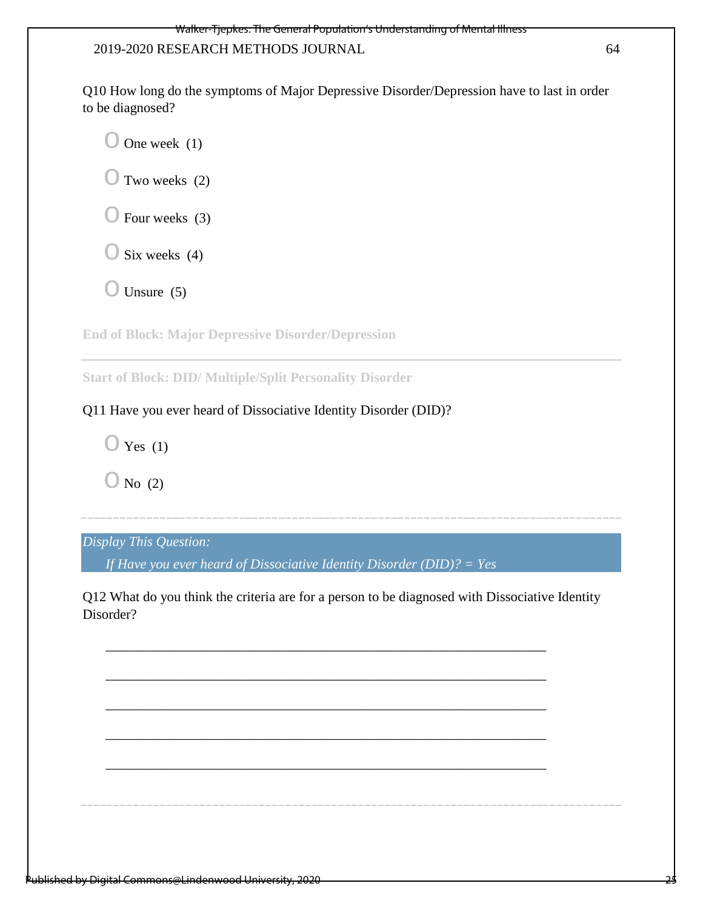Q10 How long do the symptoms of Major Depressive Disorder/Depression have to last in order to be diagnosed?

 $\bigcirc$  One week (1)  $\bigcirc$  Two weeks (2)  $\bigcirc$  Four weeks (3)  $\bigcirc$  Six weeks (4)  $\bigcirc$  Unsure (5)

**End of Block: Major Depressive Disorder/Depression**

**Start of Block: DID/ Multiple/Split Personality Disorder**

# Q11 Have you ever heard of Dissociative Identity Disorder (DID)?

 $\bigcirc$  Yes (1)

 $\bigcirc$  No (2)

# *Display This Question:*

*If Have you ever heard of Dissociative Identity Disorder (DID)? = Yes*

Q12 What do you think the criteria are for a person to be diagnosed with Dissociative Identity Disorder?

\_\_\_\_\_\_\_\_\_\_\_\_\_\_\_\_\_\_\_\_\_\_\_\_\_\_\_\_\_\_\_\_\_\_\_\_\_\_\_\_\_\_\_\_\_\_\_\_\_\_\_\_\_\_\_\_\_\_\_\_\_\_\_\_

\_\_\_\_\_\_\_\_\_\_\_\_\_\_\_\_\_\_\_\_\_\_\_\_\_\_\_\_\_\_\_\_\_\_\_\_\_\_\_\_\_\_\_\_\_\_\_\_\_\_\_\_\_\_\_\_\_\_\_\_\_\_\_\_

\_\_\_\_\_\_\_\_\_\_\_\_\_\_\_\_\_\_\_\_\_\_\_\_\_\_\_\_\_\_\_\_\_\_\_\_\_\_\_\_\_\_\_\_\_\_\_\_\_\_\_\_\_\_\_\_\_\_\_\_\_\_\_\_

\_\_\_\_\_\_\_\_\_\_\_\_\_\_\_\_\_\_\_\_\_\_\_\_\_\_\_\_\_\_\_\_\_\_\_\_\_\_\_\_\_\_\_\_\_\_\_\_\_\_\_\_\_\_\_\_\_\_\_\_\_\_\_\_

\_\_\_\_\_\_\_\_\_\_\_\_\_\_\_\_\_\_\_\_\_\_\_\_\_\_\_\_\_\_\_\_\_\_\_\_\_\_\_\_\_\_\_\_\_\_\_\_\_\_\_\_\_\_\_\_\_\_\_\_\_\_\_\_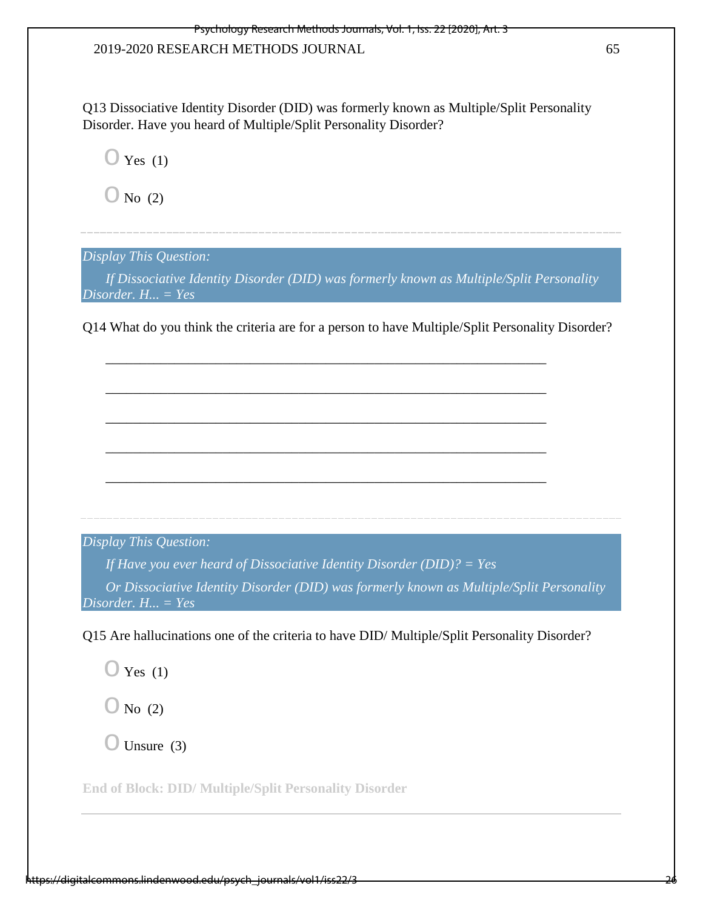Q13 Dissociative Identity Disorder (DID) was formerly known as Multiple/Split Personality Disorder. Have you heard of Multiple/Split Personality Disorder?

 $\bigcirc$  Yes (1)

 $\bigcirc$  No (2)

*Display This Question:* 

*If Dissociative Identity Disorder (DID) was formerly known as Multiple/Split Personality Disorder. H... = Yes* 

Q14 What do you think the criteria are for a person to have Multiple/Split Personality Disorder?

\_\_\_\_\_\_\_\_\_\_\_\_\_\_\_\_\_\_\_\_\_\_\_\_\_\_\_\_\_\_\_\_\_\_\_\_\_\_\_\_\_\_\_\_\_\_\_\_\_\_\_\_\_\_\_\_\_\_\_\_\_\_\_\_

\_\_\_\_\_\_\_\_\_\_\_\_\_\_\_\_\_\_\_\_\_\_\_\_\_\_\_\_\_\_\_\_\_\_\_\_\_\_\_\_\_\_\_\_\_\_\_\_\_\_\_\_\_\_\_\_\_\_\_\_\_\_\_\_

\_\_\_\_\_\_\_\_\_\_\_\_\_\_\_\_\_\_\_\_\_\_\_\_\_\_\_\_\_\_\_\_\_\_\_\_\_\_\_\_\_\_\_\_\_\_\_\_\_\_\_\_\_\_\_\_\_\_\_\_\_\_\_\_

\_\_\_\_\_\_\_\_\_\_\_\_\_\_\_\_\_\_\_\_\_\_\_\_\_\_\_\_\_\_\_\_\_\_\_\_\_\_\_\_\_\_\_\_\_\_\_\_\_\_\_\_\_\_\_\_\_\_\_\_\_\_\_\_

\_\_\_\_\_\_\_\_\_\_\_\_\_\_\_\_\_\_\_\_\_\_\_\_\_\_\_\_\_\_\_\_\_\_\_\_\_\_\_\_\_\_\_\_\_\_\_\_\_\_\_\_\_\_\_\_\_\_\_\_\_\_\_\_

*Display This Question:* 

*If Have you ever heard of Dissociative Identity Disorder (DID)? = Yes*

*Or Dissociative Identity Disorder (DID) was formerly known as Multiple/Split Personality Disorder. H... = Yes* 

Q15 Are hallucinations one of the criteria to have DID/ Multiple/Split Personality Disorder?

 $\bigcirc$  Yes (1)

 $\bigcirc$  No (2)

 $\bigcirc$  Unsure (3)

**End of Block: DID/ Multiple/Split Personality Disorder**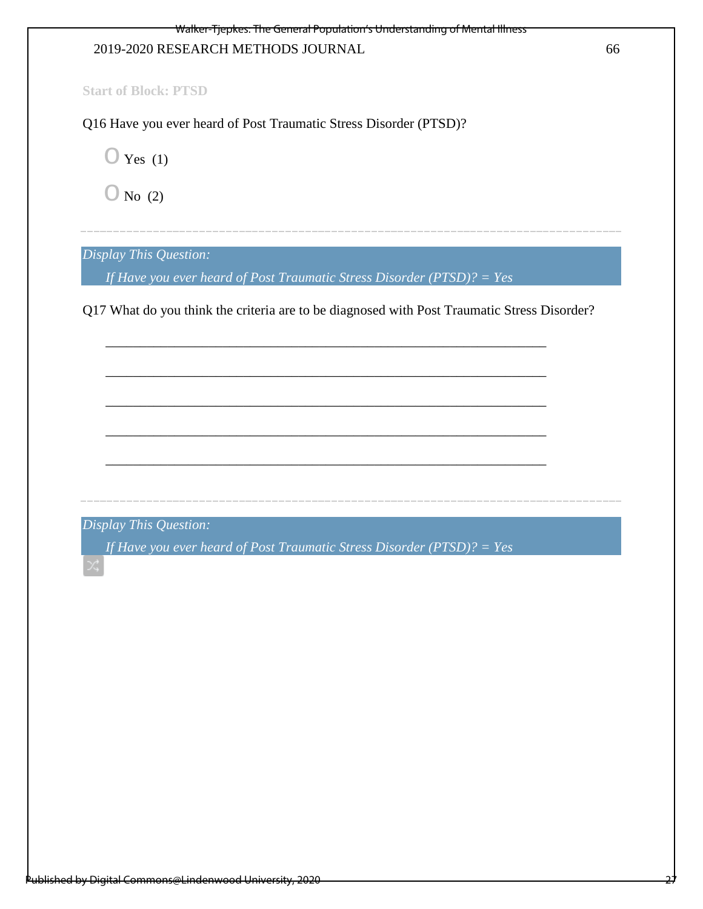27

**Start of Block: PTSD**

Q16 Have you ever heard of Post Traumatic Stress Disorder (PTSD)?

 $\bigcirc$  Yes (1)

 $\bigcirc$  No (2)

*Display This Question:* 

*If Have you ever heard of Post Traumatic Stress Disorder (PTSD)? = Yes* 

Q17 What do you think the criteria are to be diagnosed with Post Traumatic Stress Disorder?

\_\_\_\_\_\_\_\_\_\_\_\_\_\_\_\_\_\_\_\_\_\_\_\_\_\_\_\_\_\_\_\_\_\_\_\_\_\_\_\_\_\_\_\_\_\_\_\_\_\_\_\_\_\_\_\_\_\_\_\_\_\_\_\_

\_\_\_\_\_\_\_\_\_\_\_\_\_\_\_\_\_\_\_\_\_\_\_\_\_\_\_\_\_\_\_\_\_\_\_\_\_\_\_\_\_\_\_\_\_\_\_\_\_\_\_\_\_\_\_\_\_\_\_\_\_\_\_\_

\_\_\_\_\_\_\_\_\_\_\_\_\_\_\_\_\_\_\_\_\_\_\_\_\_\_\_\_\_\_\_\_\_\_\_\_\_\_\_\_\_\_\_\_\_\_\_\_\_\_\_\_\_\_\_\_\_\_\_\_\_\_\_\_

\_\_\_\_\_\_\_\_\_\_\_\_\_\_\_\_\_\_\_\_\_\_\_\_\_\_\_\_\_\_\_\_\_\_\_\_\_\_\_\_\_\_\_\_\_\_\_\_\_\_\_\_\_\_\_\_\_\_\_\_\_\_\_\_

\_\_\_\_\_\_\_\_\_\_\_\_\_\_\_\_\_\_\_\_\_\_\_\_\_\_\_\_\_\_\_\_\_\_\_\_\_\_\_\_\_\_\_\_\_\_\_\_\_\_\_\_\_\_\_\_\_\_\_\_\_\_\_\_

*Display This Question:* 

*If Have you ever heard of Post Traumatic Stress Disorder (PTSD)? = Yes*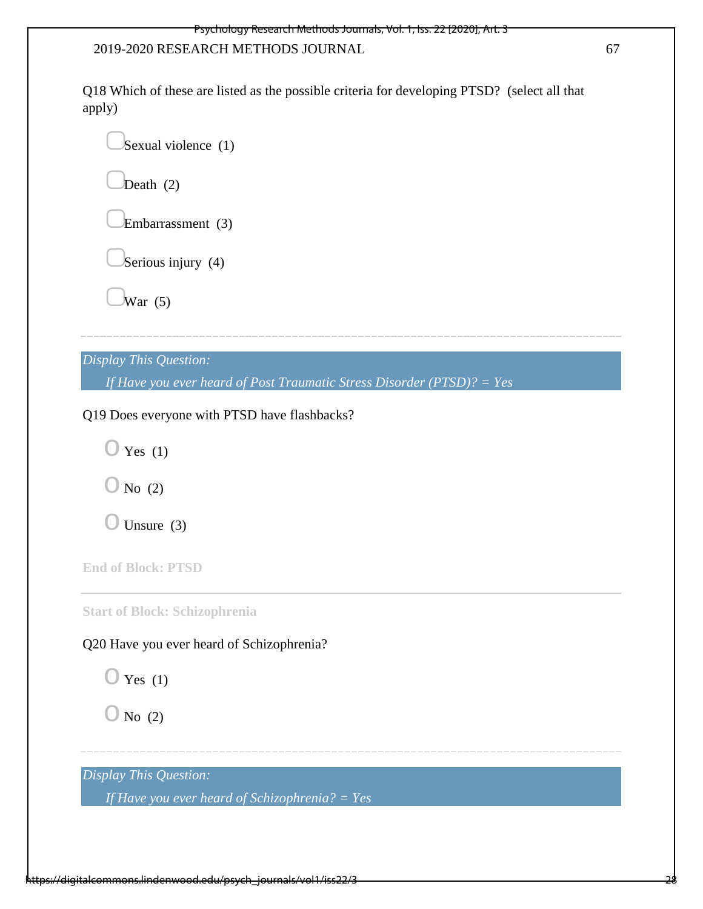Q18 Which of these are listed as the possible criteria for developing PTSD? (select all that apply)

Sexual violence (1)

Death  $(2)$ 

Embarrassment (3)

Serious injury  $(4)$ 

 $\overline{W}$ ar (5)

*Display This Question:* 

*If Have you ever heard of Post Traumatic Stress Disorder (PTSD)? = Yes* 

Q19 Does everyone with PTSD have flashbacks?

 $\bigcirc$  Yes (1)

 $\bigcirc$  No (2)

 $\bigcirc$  Unsure (3)

**End of Block: PTSD**

**Start of Block: Schizophrenia**

Q20 Have you ever heard of Schizophrenia?

 $\bigcirc$  Yes (1)

 $\bigcirc$  No (2)

*Display This Question:* 

*If Have you ever heard of Schizophrenia? = Yes*